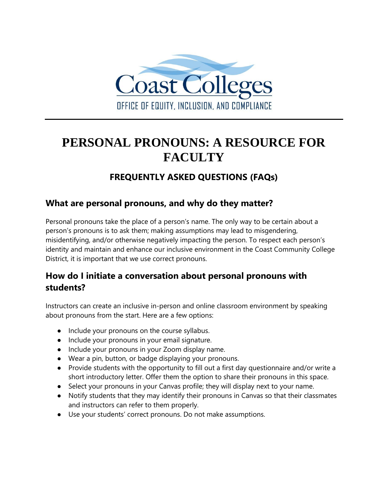

# **PERSONAL PRONOUNS: A RESOURCE FOR FACULTY**

# **FREQUENTLY ASKED QUESTIONS (FAQs)**

#### **What are personal pronouns, and why do they matter?**

Personal pronouns take the place of a person's name. The only way to be certain about a person's pronouns is to ask them; making assumptions may lead to misgendering, misidentifying, and/or otherwise negatively impacting the person. To respect each person's identity and maintain and enhance our inclusive environment in the Coast Community College District, it is important that we use correct pronouns.

# **How do I initiate a conversation about personal pronouns with students?**

Instructors can create an inclusive in-person and online classroom environment by speaking about pronouns from the start. Here are a few options:

- Include your pronouns on the course syllabus.
- Include your pronouns in your email signature.
- Include your pronouns in your Zoom display name.
- Wear a pin, button, or badge displaying your pronouns.
- Provide students with the opportunity to fill out a first day questionnaire and/or write a short introductory letter. Offer them the option to share their pronouns in this space.
- Select your pronouns in your Canvas profile; they will display next to your name.
- Notify students that they may identify their pronouns in Canvas so that their classmates and instructors can refer to them properly.
- Use your students' correct pronouns. Do not make assumptions.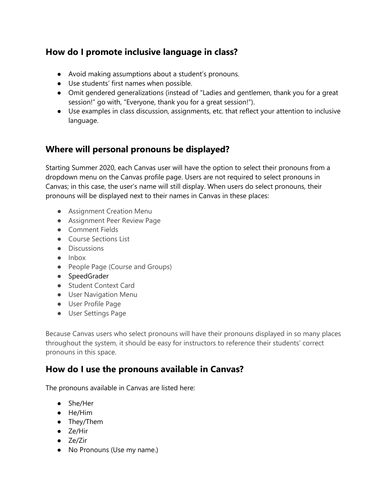# **How do I promote inclusive language in class?**

- Avoid making assumptions about a student's pronouns.
- Use students' first names when possible.
- Omit gendered generalizations (instead of "Ladies and gentlemen, thank you for a great session!" go with, "Everyone, thank you for a great session!").
- Use examples in class discussion, assignments, etc. that reflect your attention to inclusive language.

## **Where will personal pronouns be displayed?**

Starting Summer 2020, each Canvas user will have the option to select their pronouns from a dropdown menu on the Canvas profile page. Users are not required to select pronouns in Canvas; in this case, the user's name will still display. When users do select pronouns, their pronouns will be displayed next to their names in Canvas in these places:

- **•** Assignment Creation Menu
- Assignment Peer Review Page
- Comment Fields
- Course Sections List
- Discussions
- Inbox
- People Page (Course and Groups)
- SpeedGrader
- Student Context Card
- User Navigation Menu
- User Profile Page
- User Settings Page

Because Canvas users who select pronouns will have their pronouns displayed in so many places throughout the system, it should be easy for instructors to reference their students' correct pronouns in this space.

## **How do I use the pronouns available in Canvas?**

The pronouns available in Canvas are listed here:

- She/Her
- He/Him
- They/Them
- Ze/Hir
- Ze/Zir
- No Pronouns (Use my name.)